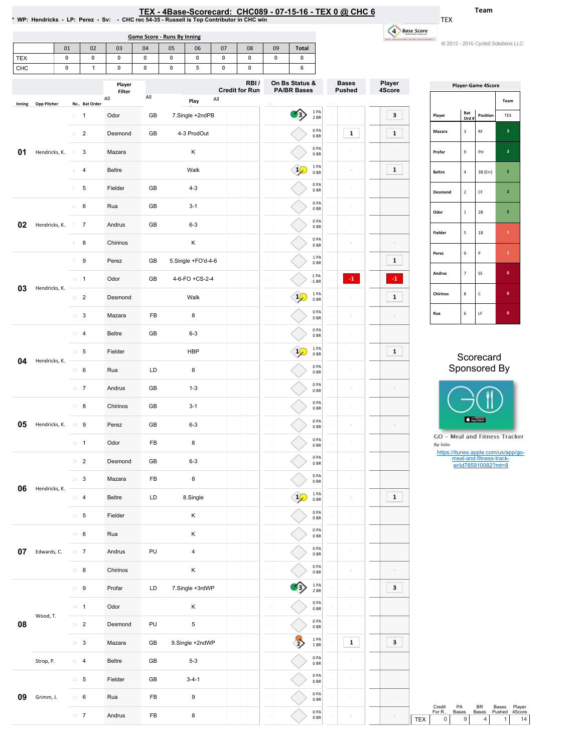|                   |                    |                        |                |                                | <b>Game Score - Runs By Inning</b> |        |                         |                                                                              |                        |           |                              |                               |                  |  | 4 Base Score                |                                              |                                  |                                                |                                                     |
|-------------------|--------------------|------------------------|----------------|--------------------------------|------------------------------------|--------|-------------------------|------------------------------------------------------------------------------|------------------------|-----------|------------------------------|-------------------------------|------------------|--|-----------------------------|----------------------------------------------|----------------------------------|------------------------------------------------|-----------------------------------------------------|
|                   |                    | 01                     | 02             | 03                             | 04                                 | 05     | 06                      | 07                                                                           | 08                     | 09        | <b>Total</b>                 |                               |                  |  |                             |                                              |                                  | 2013 - 2016 Cycled Solutions LLC               |                                                     |
| <b>TEX</b><br>CHC |                    | $\pmb{0}$<br>$\pmb{0}$ | $\pmb{0}$<br>1 | $\bf{0}$<br>0                  | $\bf{0}$<br>$\mathbf 0$            | 0<br>0 | $\pmb{0}$<br>5          | $\pmb{0}$<br>$\bf{0}$                                                        | $\pmb{0}$<br>$\pmb{0}$ | $\pmb{0}$ | $\pmb{0}$<br>6               |                               |                  |  |                             |                                              |                                  |                                                |                                                     |
|                   |                    |                        |                | Player<br>Filter<br>All<br>All |                                    |        |                         | RBI/<br>On Bs Status &<br><b>Credit for Run</b><br><b>PA/BR Bases</b><br>All |                        |           |                              | <b>Bases</b><br><b>Pushed</b> | Player<br>4Score |  |                             | <b>Player-Game 4Score</b><br>Team            |                                  |                                                |                                                     |
| Inning            | <b>Opp Pitcher</b> | $1 \quad 1$            | Ro Bat Order   | Odor                           | GB                                 |        | Play<br>7.Single +2ndPB |                                                                              |                        |           | $\left\langle \right\rangle$ | 1 PA                          |                  |  | 3                           | Player                                       | Bat                              | Position                                       | TEX                                                 |
| 01                |                    | $\overline{2}$         | $\overline{2}$ | Desmond                        | GB                                 |        | 4-3 ProdOut             |                                                                              |                        |           |                              | 2 BR<br>0PA<br>0BR            | $\mathbf{1}$     |  | $\mathbf{1}$                | Mazara                                       | Ord #<br>$\overline{\mathbf{3}}$ | RF                                             | $\ensuremath{\mathsf{3}}$                           |
|                   | Hendricks, K.      | 3                      | 3              | Mazara                         |                                    |        | Κ                       |                                                                              |                        |           |                              | 0PA<br>0B                     |                  |  |                             | Profar                                       | $\mathbf 9$                      | PH                                             | 3 <sup>7</sup>                                      |
|                   |                    | 4                      | 4              | Beltre                         |                                    |        | Walk                    |                                                                              |                        |           | $\frac{1}{2}$                | 1PA<br>0BR                    | ÷                |  | $\mathbf{1}$                | <b>Beltre</b>                                | $\overline{4}$                   | 3B (Err)                                       | $\overline{2}$                                      |
|                   |                    | 5                      | $\sqrt{5}$     | Fielder                        | GB                                 |        | $4 - 3$                 |                                                                              |                        |           |                              | 0PA<br>0BR                    | ÷                |  |                             | Desmond                                      | $\overline{2}$                   | $\mathsf{CF}$                                  | $\mathbf{2}$                                        |
|                   |                    | 6                      | 6              | Rua                            | GB                                 |        | $3 - 1$                 |                                                                              |                        |           |                              | 0PA<br>0BR                    | ÷                |  |                             | Odor                                         | $\mathbf{1}$                     | 2B                                             | $\mathbf{2}$                                        |
| 02                | Hendricks, K.      | $7 - 7$                |                | Andrus                         | GB                                 |        | $6 - 3$                 |                                                                              |                        |           |                              | 0PA<br>0BR                    | ö                |  |                             | Fielder                                      | 5                                | $1\mathsf{B}$                                  | $\mathbf 1$                                         |
|                   |                    | 8                      | 8              | Chirinos                       |                                    |        | Κ                       |                                                                              |                        |           |                              | 0PA<br>0B<br>1PA              |                  |  |                             | Perez                                        | $\mathbf 9$                      | P                                              | $\mathbf 1$                                         |
|                   |                    | 9                      | 9              | Perez                          | GB                                 |        | 5.Single +FO'd-4-6      |                                                                              |                        |           |                              | 0BR<br>1 PA                   |                  |  | $\mathbf{1}$                | Andrus                                       | $\overline{7}$                   | SS                                             | $\bullet$                                           |
| 03                | Hendricks, K.      | $10 - 1$<br>$11$ – $2$ |                | Odor<br>Desmond                | GB                                 |        | 4-6-FO +CS-2-4<br>Walk  |                                                                              |                        |           | $\frac{1}{2}$                | $-1$ BR<br>1PA                | $\cdot 1$        |  | $^{\circ}1$<br>$\mathbf{1}$ | Chirinos                                     | $\bf8$                           | c                                              | $\mathbf{0}^-$                                      |
|                   |                    | $12 \t3$               |                | Mazara                         | FB                                 |        | 8                       |                                                                              |                        |           |                              | 0BR<br>0PA                    | ÷                |  |                             | Rua                                          | 6                                | LF                                             | $\mathbf{0}^-$                                      |
| 04                |                    | $13 \t 4$              |                | <b>Beltre</b>                  | GB                                 |        | $6 - 3$                 |                                                                              |                        |           |                              | 0BR<br>0PA<br>0BR             |                  |  |                             |                                              |                                  |                                                |                                                     |
|                   |                    | $14$ 5                 |                | Fielder                        |                                    |        | <b>HBP</b>              |                                                                              |                        |           | $\frac{1}{2}$                | 1PA<br>0BR                    | $\bar{ }$        |  | $\mathbf{1}$                |                                              |                                  |                                                |                                                     |
|                   | Hendricks, K.      | $15 \t 6$              |                | Rua                            | LD                                 |        | 8                       |                                                                              |                        |           |                              | 0PA<br>0BR                    |                  |  |                             |                                              |                                  | Scorecard<br>Sponsored By                      |                                                     |
|                   |                    | $16$ 7                 |                | Andrus                         | GB                                 |        | $1 - 3$                 |                                                                              |                        |           |                              | 0PA<br>0BR                    | $\equiv$         |  |                             |                                              |                                  |                                                |                                                     |
|                   |                    | $17 - 8$               |                | Chirinos                       | GB                                 |        | $3 - 1$                 |                                                                              |                        |           |                              | 0PA<br>0BR                    | ÷                |  |                             |                                              |                                  |                                                |                                                     |
| 05                | Hendricks, K.      | 18 9                   |                | Perez                          | GB                                 |        | $6 - 3$                 |                                                                              |                        |           |                              | 0PA<br>0BR                    |                  |  |                             |                                              | App Store                        |                                                |                                                     |
|                   |                    |                        | $\mathbf{1}$   | Odor                           | FB                                 |        | 8                       |                                                                              |                        |           |                              | 0PA<br>0 BR                   |                  |  |                             | GO - Meal and Fitness Tracker<br>By Iolo     |                                  | https://itunes.apple.com/us/app/go-            |                                                     |
|                   |                    | $20 - 2$               |                | Desmond                        | GB                                 |        | $6 - 3$                 |                                                                              |                        |           |                              | 0PA<br>0BR                    | ÷                |  |                             |                                              |                                  | meal-and-fitness-track-<br>er/id785910082?mt=8 |                                                     |
| 06                | Hendricks, K.      | $21 - 3$               |                | Mazara                         | FB                                 |        | 8                       |                                                                              |                        |           |                              | 0PA<br>0BR                    | ÷                |  |                             |                                              |                                  |                                                |                                                     |
|                   |                    | $22 - 4$               |                | Beltre                         | LD                                 |        | 8.Single                |                                                                              |                        |           | $\frac{1}{2}$                | 1PA<br>0BR                    | ÷                |  | $\mathbf{1}$                |                                              |                                  |                                                |                                                     |
|                   |                    | $23 \t 5$              |                | Fielder                        |                                    |        | Κ                       |                                                                              |                        |           |                              | 0PA<br>0BR<br>0PA             |                  |  |                             |                                              |                                  |                                                |                                                     |
|                   |                    | 24 6                   |                | Rua                            |                                    |        | Κ                       |                                                                              |                        |           |                              | 0BR<br>0PA                    |                  |  |                             |                                              |                                  |                                                |                                                     |
| 07                | Edwards, C.        | $25 \t 7$              |                | Andrus                         | PU                                 |        | $\overline{4}$          |                                                                              |                        |           |                              | 0 <sub>BR</sub><br>0PA        | $\equiv$         |  |                             |                                              |                                  |                                                |                                                     |
|                   |                    | $26$ 8                 |                | Chirinos                       |                                    |        | Κ                       |                                                                              |                        |           |                              | 0BR<br>1 PA                   | $\equiv$<br>÷    |  | 3                           |                                              |                                  |                                                |                                                     |
|                   |                    | $27 - 9$<br>$28 - 1$   |                | Profar<br>Odor                 | LD                                 |        | 7.Single +3rdWP<br>Κ    |                                                                              |                        |           | 3                            | 2 BR<br>0PA                   |                  |  |                             |                                              |                                  |                                                |                                                     |
| 08                | Wood, T.           | $29 - 2$               |                | Desmond                        | PU                                 |        | $\mathbf 5$             |                                                                              |                        |           |                              | 0BR<br>0PA                    |                  |  |                             |                                              |                                  |                                                |                                                     |
|                   |                    | $30-3$                 |                | Mazara                         | GB                                 |        | 9.Single +2ndWP         |                                                                              |                        |           | $\overline{z}$               | 0BR<br>1PA<br>1 BR            | $\mathbf{1}$     |  | 3                           |                                              |                                  |                                                |                                                     |
|                   | Strop, P.          | $31 - 4$               |                | Beltre                         | GB                                 |        | $5 - 3$                 |                                                                              |                        |           |                              | 0PA<br>0B                     | $\equiv$         |  |                             |                                              |                                  |                                                |                                                     |
|                   |                    | $32 - 5$               |                | Fielder                        | GB                                 |        | $3 - 4 - 1$             |                                                                              |                        |           |                              | 0PA<br>0BR                    | $\sim$           |  |                             |                                              |                                  |                                                |                                                     |
| 09                | Grimm, J.          | 33 6                   |                | Rua                            | FB                                 |        | 9                       |                                                                              |                        |           |                              | 0PA<br>0BR                    |                  |  |                             |                                              |                                  |                                                |                                                     |
|                   |                    |                        | $34 - 7$       | Andrus                         | FB                                 |        | 8                       |                                                                              |                        |           |                              | 0PA<br>0BR                    |                  |  |                             | Credit<br>For R<br><b>TEX</b><br>$\mathbf 0$ | PA<br>Bases<br>$\mathsf g$       | BR<br>Bases<br>$\overline{4}$                  | Bases<br>Player<br>4Score<br>Pushed<br>$\mathbf{1}$ |

## TEX - 4Base-Scorecard: CHC089 - 07-15-16 - TEX 0 @ CHC 6

Team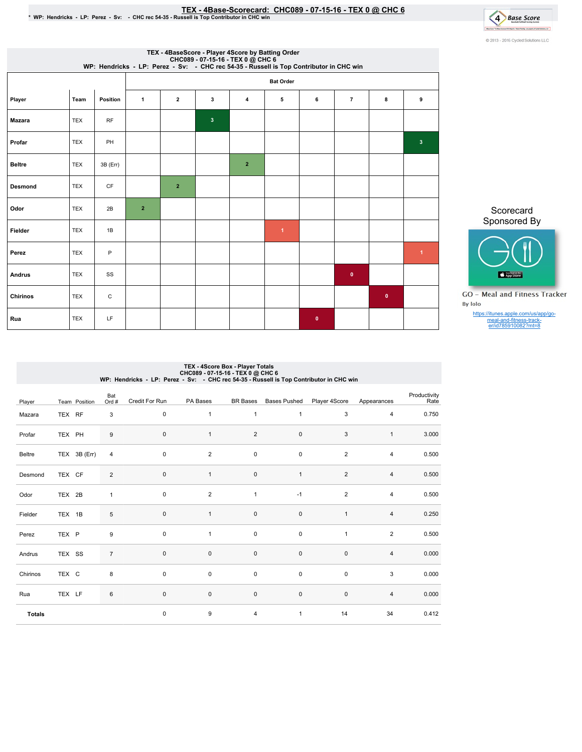## TEX-4Base-Scorecard:CHC089-07-15-16-TEX0@ CHC6 \*WP:Hendricks-LP:Perez-Sv: -CHCrec54-35-RussellisTopContributorinCHCwin



|                |            |              |                |                  |              | TEX - 4BaseScore - Player 4Score by Batting Order<br>CHC089 - 07-15-16 - TEX 0 @ CHC 6<br>WP: Hendricks - LP: Perez - Sv: - CHC rec 54-35 - Russell is Top Contributor in CHC win |                      |           |                |           |                |  |
|----------------|------------|--------------|----------------|------------------|--------------|-----------------------------------------------------------------------------------------------------------------------------------------------------------------------------------|----------------------|-----------|----------------|-----------|----------------|--|
|                |            |              |                | <b>Bat Order</b> |              |                                                                                                                                                                                   |                      |           |                |           |                |  |
| Player         | Team       | Position     | $\mathbf{1}$   | $\mathbf{2}$     | 3            | 4                                                                                                                                                                                 | 5                    | 6         | $\overline{7}$ | 8         | 9              |  |
| <b>Mazara</b>  | <b>TEX</b> | <b>RF</b>    |                |                  | $\mathbf{3}$ |                                                                                                                                                                                   |                      |           |                |           |                |  |
| Profar         | <b>TEX</b> | PH           |                |                  |              |                                                                                                                                                                                   |                      |           |                |           | 3 <sup>2</sup> |  |
| <b>Beltre</b>  | <b>TEX</b> | 3B (Err)     |                |                  |              | $\overline{2}$                                                                                                                                                                    |                      |           |                |           |                |  |
| <b>Desmond</b> | <b>TEX</b> | <b>CF</b>    |                | $\overline{2}$   |              |                                                                                                                                                                                   |                      |           |                |           |                |  |
| Odor           | <b>TEX</b> | 2B           | $\overline{2}$ |                  |              |                                                                                                                                                                                   |                      |           |                |           |                |  |
| Fielder        | <b>TEX</b> | 1B           |                |                  |              |                                                                                                                                                                                   | $\blacktriangleleft$ |           |                |           |                |  |
| Perez          | <b>TEX</b> | $\mathsf{P}$ |                |                  |              |                                                                                                                                                                                   |                      |           |                |           | $\overline{1}$ |  |
| Andrus         | <b>TEX</b> | SS           |                |                  |              |                                                                                                                                                                                   |                      |           | $\bullet$      |           |                |  |
| Chirinos       | <b>TEX</b> | $\mathtt{C}$ |                |                  |              |                                                                                                                                                                                   |                      |           |                | $\bullet$ |                |  |
| Rua            | <b>TEX</b> | LF           |                |                  |              |                                                                                                                                                                                   |                      | $\bullet$ |                |           |                |  |

Scorecard Sponsored By



**GO** - Meal and Fitness Tracker By Iolo

https://itunes.apple.com/us/app/go-meal-and-fitness-track-er/id785910082?mt=8

# TEX - 4Score Box - Player Totals<br>CHC089 - 07-15-16 - CHC (@ CHC 6<br>WP: Hendricks - LP: Perez - Sv: - CHC rec 54-35 - Russell is Top Contributor in CHC win

| Player        |        | Team Position | Bat<br>Ord #   | Credit For Run | PA Bases       | BR Bases       | <b>Bases Pushed</b> | Player 4Score  | Appearances    | Productivity<br>Rate |
|---------------|--------|---------------|----------------|----------------|----------------|----------------|---------------------|----------------|----------------|----------------------|
| Mazara        | TEX RF |               | 3              | 0              | $\mathbf{1}$   | $\mathbf{1}$   | $\mathbf{1}$        | 3              | 4              | 0.750                |
| Profar        | TEX PH |               | $9\,$          | $\pmb{0}$      | $\mathbf{1}$   | $\overline{2}$ | $\pmb{0}$           | 3              | $\mathbf{1}$   | 3.000                |
| Beltre        |        | TEX 3B (Err)  | $\overline{4}$ | $\pmb{0}$      | $\overline{2}$ | 0              | $\pmb{0}$           | $\overline{2}$ | $\overline{4}$ | 0.500                |
| Desmond       | TEX CF |               | $\overline{2}$ | $\pmb{0}$      | $\mathbf{1}$   | $\pmb{0}$      | $\mathbf{1}$        | $\overline{2}$ | $\overline{4}$ | 0.500                |
| Odor          | TEX 2B |               | $\mathbf{1}$   | $\pmb{0}$      | $\overline{2}$ | $\mathbf{1}$   | $-1$                | $\overline{2}$ | $\overline{4}$ | 0.500                |
| Fielder       | TEX 1B |               | $\,$ 5 $\,$    | $\mathsf 0$    | $\mathbf{1}$   | $\mathsf 0$    | $\pmb{0}$           | $\mathbf{1}$   | $\overline{4}$ | 0.250                |
| Perez         | TEX P  |               | 9              | $\pmb{0}$      | $\mathbf{1}$   | $\mathsf 0$    | $\pmb{0}$           | $\mathbf{1}$   | 2              | 0.500                |
| Andrus        | TEX SS |               | $\overline{7}$ | $\pmb{0}$      | $\mathbf 0$    | $\pmb{0}$      | $\pmb{0}$           | $\mathbf 0$    | $\overline{4}$ | 0.000                |
| Chirinos      | TEX C  |               | 8              | $\pmb{0}$      | $\mathsf 0$    | $\pmb{0}$      | $\pmb{0}$           | $\pmb{0}$      | 3              | 0.000                |
| Rua           | TEX LF |               | $\,6\,$        | $\pmb{0}$      | $\mathbf 0$    | $\mathsf 0$    | $\pmb{0}$           | $\mathbf 0$    | $\overline{4}$ | 0.000                |
| <b>Totals</b> |        |               |                | 0              | 9              | 4              | $\mathbf{1}$        | 14             | 34             | 0.412                |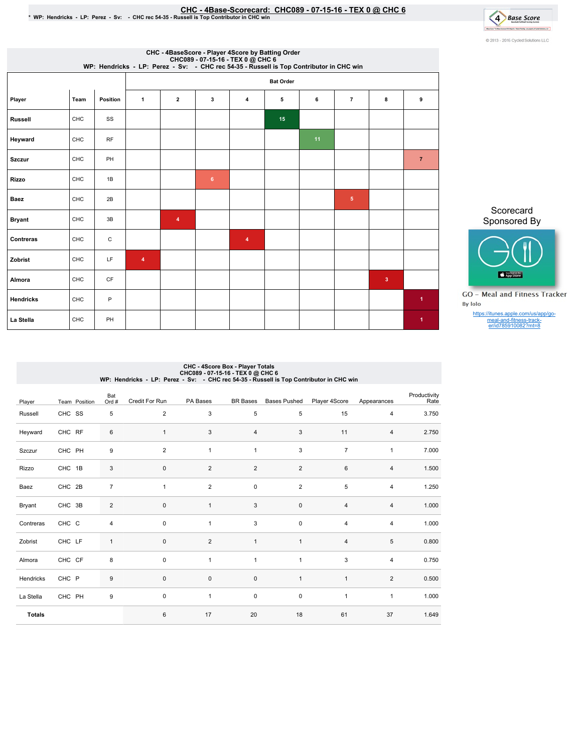### EHC-4Base-Scorecard: CHC089 - 07-15-16 - TEX 0 @ CHC 6 فالتصبح CHC - 4Base-Scorecard: CHC089 - 07-15-16 - TEX<br>\* WP: Hendricks - LP: Perez - Sv: - CHC rec 54-35 - Russell is Top Contributor in CHC win



|                  |            |             |   |                  |                | CHC - 4BaseScore - Player 4Score by Batting Order<br>CHC089 - 07-15-16 - TEX 0 @ CHC 6<br>WP: Hendricks - LP: Perez - Sv: - CHC rec 54-35 - Russell is Top Contributor in CHC win |    |    |                |              |                      |  |  |
|------------------|------------|-------------|---|------------------|----------------|-----------------------------------------------------------------------------------------------------------------------------------------------------------------------------------|----|----|----------------|--------------|----------------------|--|--|
|                  |            |             |   | <b>Bat Order</b> |                |                                                                                                                                                                                   |    |    |                |              |                      |  |  |
| Player           | Team       | Position    | 1 | $\overline{2}$   | 3              | 4                                                                                                                                                                                 | 5  | 6  | $\overline{7}$ | 8            | 9                    |  |  |
| <b>Russell</b>   | <b>CHC</b> | SS          |   |                  |                |                                                                                                                                                                                   | 15 |    |                |              |                      |  |  |
| Heyward          | CHC        | RF          |   |                  |                |                                                                                                                                                                                   |    | 11 |                |              |                      |  |  |
| <b>Szczur</b>    | CHC        | PH          |   |                  |                |                                                                                                                                                                                   |    |    |                |              | $\overline{7}$       |  |  |
| <b>Rizzo</b>     | <b>CHC</b> | 1B          |   |                  | 6 <sup>°</sup> |                                                                                                                                                                                   |    |    |                |              |                      |  |  |
| <b>Baez</b>      | <b>CHC</b> | 2B          |   |                  |                |                                                                                                                                                                                   |    |    | $\sqrt{5}$     |              |                      |  |  |
| <b>Bryant</b>    | CHC        | 3B          |   | 4                |                |                                                                                                                                                                                   |    |    |                |              |                      |  |  |
| Contreras        | CHC        | $\mathsf C$ |   |                  |                | $\overline{\mathbf{4}}$                                                                                                                                                           |    |    |                |              |                      |  |  |
| Zobrist          | CHC        | LF          | 4 |                  |                |                                                                                                                                                                                   |    |    |                |              |                      |  |  |
| Almora           | CHC        | <b>CF</b>   |   |                  |                |                                                                                                                                                                                   |    |    |                | $\mathbf{3}$ |                      |  |  |
| <b>Hendricks</b> | CHC        | P           |   |                  |                |                                                                                                                                                                                   |    |    |                |              | $\blacktriangleleft$ |  |  |
| La Stella        | <b>CHC</b> | PH          |   |                  |                |                                                                                                                                                                                   |    |    |                |              | $\blacktriangleleft$ |  |  |

Scorecard Sponsored By



**GO** - Meal and Fitness Tracker By Iolo

https://itunes.apple.com/us/app/go-meal-and-fitness-track-er/id785910082?mt=8

## CHC - 4Score Box - Player Totals<br>CHC089 - 07-15-16 - CHC (@ CHC 6<br>WP: Hendricks - LP: Perez - Sv: - CHC rec 54-35 - Russell is Top Contributor in CHC win

| Player        | Team Position | Bat<br>Ord #     | Credit For Run | PA Bases       | <b>BR</b> Bases | <b>Bases Pushed</b> | Player 4Score  | Appearances    | Productivity<br>Rate |
|---------------|---------------|------------------|----------------|----------------|-----------------|---------------------|----------------|----------------|----------------------|
| Russell       | CHC SS        | 5                | $\overline{2}$ | 3              | 5               | 5                   | 15             | $\overline{4}$ | 3.750                |
| Heyward       | CHC RF        | $\,6\,$          | $\mathbf{1}$   | 3              | 4               | 3                   | 11             | $\overline{4}$ | 2.750                |
| Szczur        | CHC PH        | 9                | $\overline{2}$ | $\overline{1}$ | $\mathbf{1}$    | 3                   | $\overline{7}$ | $\mathbf{1}$   | 7.000                |
| Rizzo         | CHC 1B        | $\sqrt{3}$       | $\mathbf 0$    | 2              | $\overline{2}$  | $\overline{2}$      | 6              | $\overline{4}$ | 1.500                |
| Baez          | CHC 2B        | $\overline{7}$   | $\overline{1}$ | 2              | $\pmb{0}$       | $\overline{2}$      | 5              | $\overline{4}$ | 1.250                |
| Bryant        | CHC 3B        | $\sqrt{2}$       | $\mathbf 0$    | $\mathbf{1}$   | 3               | $\pmb{0}$           | $\sqrt{4}$     | $\overline{4}$ | 1.000                |
| Contreras     | CHC C         | 4                | 0              | $\mathbf{1}$   | 3               | 0                   | 4              | $\overline{4}$ | 1.000                |
| Zobrist       | CHC LF        | $\mathbf{1}$     | $\mathbf 0$    | $\overline{2}$ | $\mathbf{1}$    | $\mathbf{1}$        | $\overline{4}$ | $\,$ 5 $\,$    | 0.800                |
| Almora        | CHC CF        | 8                | $\mathbf 0$    | $\overline{1}$ | $\mathbf{1}$    | $\mathbf{1}$        | 3              | $\overline{4}$ | 0.750                |
| Hendricks     | CHC P         | $\boldsymbol{9}$ | $\mathbf 0$    | $\pmb{0}$      | $\pmb{0}$       | $\mathbf{1}$        | $\mathbf{1}$   | $\overline{2}$ | 0.500                |
| La Stella     | CHC PH        | $\boldsymbol{9}$ | $\mathbf 0$    | $\mathbf{1}$   | $\mathbf 0$     | 0                   | $\mathbf{1}$   | $\mathbf{1}$   | 1.000                |
| <b>Totals</b> |               |                  | 6              | 17             | 20              | 18                  | 61             | 37             | 1.649                |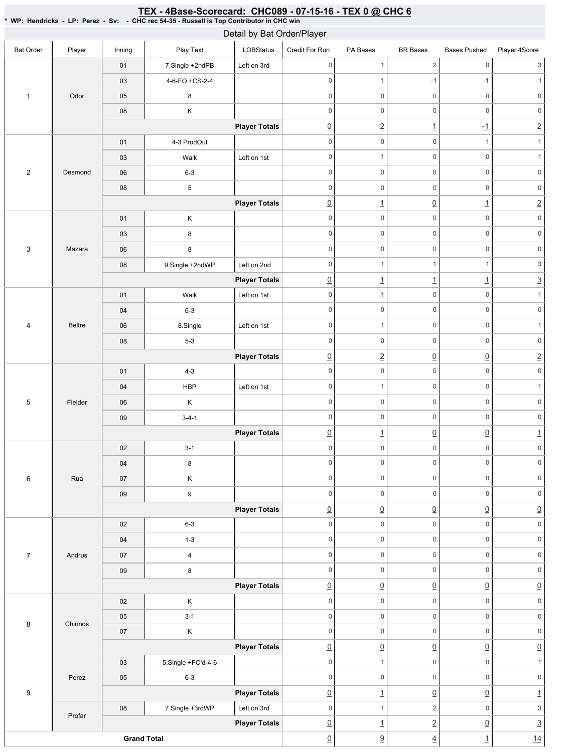#### Bat Order | Player | Inning | PlayText | LOBStatus Credit For Run PA Bases BR Bases Bases Pushed Player 4Score 1 Odor 01 7.Single +2ndPB Left on 3rd 03 4-6-FO + CS-2-4 05 8 08 K **Player Totals** 2 Desmond 01 4-3 ProdOut 03 | Walk Left on 1st 06 6-3 08 5 **Player Totals** 3 Mazara 01 K 03 8 06 8 08 9.Single +2ndWP Left on 2nd **Player Totals** 4 Beltre 01 | Walk Left on 1st 04 6-3 06 | 8.Single | Left on 1st 08 5-3 **Player Totals** 5 Fielder 01 4-3 04 | HBP | Left on 1st 06 K 09 3-4-1 **Player Totals** 6 Rua 02 3-1 04 8 07 K 09 9 **Player Totals** 7 Andrus 02 6-3 04 1-3 07 4 09 8 **Player Totals** 8 Chirinos 02 K 05 3-1 07 K **Player Totals** 9 Perez 03 5.Single +FO'd-4-6 05 6-3 **Player Totals** Profar 08 | 7.Single +3rdWP | Left on 3rd **Player Totals Grand Total** 0 1 2 0 3 0  $1$  -1 -1 -1 -1 0 0 0 0 0 0 0 0 0 0 0 0 0 2 1 -1 2  $0 \qquad 0 \qquad 0 \qquad 1 \qquad 1$ 0 0 0 1 0 0 0 0 0 0 0 0 0 0 0 0 0 1 0 1 2 0 0 0 0 0 0 0 0 0 0 0 0 0 0 0 0 0 0 0 1 1 1  $1$  3  $\boxed{0}$  1 1 1 3 0 0 0 1 0 0 0 0 0 0 0 0 1 0 1 0 0 0 0 0 0 0 2 0 0 2 0 0 0 0 0 0 0 0 0 1 0 0 0 0 0 0 0 0 0 0 0 0  $\boxed{0}$  1  $\boxed{0}$   $\boxed{0}$  1 0 0 0 0 0 0 0 0 0 0 0 0 0 0 0 0 0 0 0 0 0 0 0 0  $\overline{0}$   $\overline{0}$   $\overline{0}$   $\overline{0}$   $\overline{0}$   $\overline{0}$   $\overline{0}$ 0 0 0 0 0 0 0 0 0 0 0 0 0 0 0 0 0 0 0 0 0 0 0 0  $\overline{0}$   $\overline{0}$   $\overline{0}$   $\overline{0}$   $\overline{0}$   $\overline{0}$   $\overline{0}$ 0 0 0 0 0 0 0 0 0 0 0 0 0 0 0 0 0 0  $\overline{0}$   $\overline{0}$   $\overline{0}$   $\overline{0}$   $\overline{0}$   $\overline{0}$   $\overline{0}$ 0 0 0 1 0 0 0 0 0 0  $\Omega$  1 0 0  $\Omega$  1 0 1 2 0 3  $\begin{array}{ccc} \boxed{0} & 1 & 2 & 0 & 3 \end{array}$  $\boxed{0}$   $\boxed{9}$   $\boxed{4}$   $\boxed{1}$   $\boxed{14}$ Detail by Bat Order/Player

#### <u>TEX - 4Base-Scorecard: CHC089 - 07-15-16 - TEX 0 @ CHC 6</u>

\* WP: Hendricks - LP: Perez - Sv: - CHC rec 54-35 - Russell is Top Contributor in CHC win